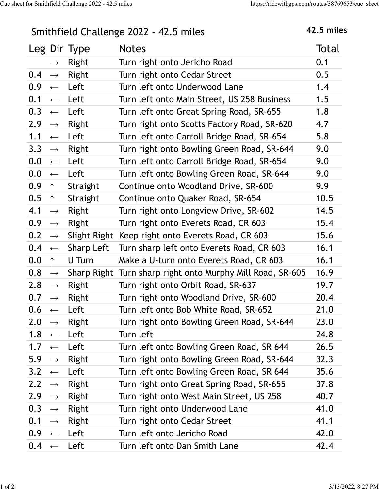## Smithfield Challenge 2022 - 42.5 miles 42.5 miles

| Smithfield Challenge 2022 - 42.5 miles |                   |                         | <b>42.5 miles</b>                                          |       |
|----------------------------------------|-------------------|-------------------------|------------------------------------------------------------|-------|
|                                        |                   | Leg Dir Type            | <b>Notes</b>                                               | Total |
|                                        |                   | Right                   | Turn right onto Jericho Road                               | 0.1   |
| $0.4 \rightarrow$                      |                   | Right                   | Turn right onto Cedar Street                               | 0.5   |
| $0.9 \leftarrow$                       |                   | Left                    | Turn left onto Underwood Lane                              | 1.4   |
| $0.1 \leftarrow$                       |                   | Left                    | Turn left onto Main Street, US 258 Business                | 1.5   |
|                                        |                   | $0.3 \leftarrow$ Left   | Turn left onto Great Spring Road, SR-655                   | 1.8   |
| 2.9 $\rightarrow$                      |                   | Right                   | Turn right onto Scotts Factory Road, SR-620                | 4.7   |
| $1.1 \leftarrow$                       |                   | Left                    | Turn left onto Carroll Bridge Road, SR-654                 | 5.8   |
| $3.3 \rightarrow$                      |                   | Right                   | Turn right onto Bowling Green Road, SR-644                 | 9.0   |
|                                        |                   | $0.0 \leftarrow$ Left   | Turn left onto Carroll Bridge Road, SR-654                 | 9.0   |
| 0.0                                    | $\leftarrow$      | Left                    | Turn left onto Bowling Green Road, SR-644                  | 9.0   |
| 0.9                                    | $\uparrow$        | Straight                | Continue onto Woodland Drive, SR-600                       | 9.9   |
| 0.5                                    | $\uparrow$        | Straight                | Continue onto Quaker Road, SR-654                          | 10.5  |
| 4.1                                    | $\longrightarrow$ | Right                   | Turn right onto Longview Drive, SR-602                     | 14.5  |
| 0.9 <sub>0</sub>                       | $\longrightarrow$ | Right                   | Turn right onto Everets Road, CR 603                       | 15.4  |
| $0.2 \rightarrow$                      |                   |                         | Slight Right Keep right onto Everets Road, CR 603          | 15.6  |
| $0.4 \leftarrow$                       |                   | Sharp Left              | Turn sharp left onto Everets Road, CR 603                  | 16.1  |
| 0.0                                    | $\uparrow$        | U Turn                  | Make a U-turn onto Everets Road, CR 603                    | 16.1  |
| $0.8 \rightarrow$                      |                   |                         | Sharp Right Turn sharp right onto Murphy Mill Road, SR-605 | 16.9  |
| 2.8 $\rightarrow$                      |                   | Right                   | Turn right onto Orbit Road, SR-637                         | 19.7  |
| 0.7                                    | $\rightarrow$     | Right                   | Turn right onto Woodland Drive, SR-600                     | 20.4  |
| $0.6 \leftarrow$                       |                   | Left                    | Turn left onto Bob White Road, SR-652                      | 21.0  |
|                                        |                   | 2.0 $\rightarrow$ Right | Turn right onto Bowling Green Road, SR-644                 | 23.0  |
| $1.8 \leftarrow$                       |                   | Left                    | Turn left                                                  | 24.8  |
| 1.7 $\leftarrow$                       |                   | Left                    | Turn left onto Bowling Green Road, SR 644                  | 26.5  |
|                                        |                   | 5.9 $\rightarrow$ Right | Turn right onto Bowling Green Road, SR-644                 | 32.3  |
| $3.2 \leftarrow$                       |                   | Left                    | Turn left onto Bowling Green Road, SR 644                  | 35.6  |
| 2.2 $\rightarrow$                      |                   | Right                   | Turn right onto Great Spring Road, SR-655                  | 37.8  |
| 2.9                                    |                   | $\rightarrow$ Right     | Turn right onto West Main Street, US 258                   | 40.7  |
| $0.3 \rightarrow$                      |                   | Right                   | Turn right onto Underwood Lane                             | 41.0  |
| 0.1                                    | $\rightarrow$     | Right                   | Turn right onto Cedar Street                               | 41.1  |
|                                        |                   | $0.9 \leftarrow$ Left   | Turn left onto Jericho Road                                | 42.0  |
|                                        |                   | $0.4 \leftarrow$ Left   | Turn left onto Dan Smith Lane                              | 42.4  |